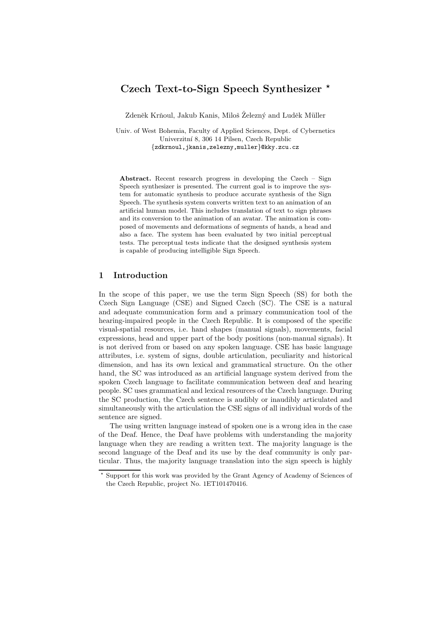# Czech Text-to-Sign Speech Synthesizer  $\star$

Zdeněk Krňoul, Jakub Kanis, Miloš Železný and Luděk Müller

Univ. of West Bohemia, Faculty of Applied Sciences, Dept. of Cybernetics Univerzitní 8, 306 14 Pilsen, Czech Republic {zdkrnoul,jkanis,zelezny,muller}@kky.zcu.cz

Abstract. Recent research progress in developing the Czech – Sign Speech synthesizer is presented. The current goal is to improve the system for automatic synthesis to produce accurate synthesis of the Sign Speech. The synthesis system converts written text to an animation of an artificial human model. This includes translation of text to sign phrases and its conversion to the animation of an avatar. The animation is composed of movements and deformations of segments of hands, a head and also a face. The system has been evaluated by two initial perceptual tests. The perceptual tests indicate that the designed synthesis system is capable of producing intelligible Sign Speech.

# 1 Introduction

In the scope of this paper, we use the term Sign Speech (SS) for both the Czech Sign Language (CSE) and Signed Czech (SC). The CSE is a natural and adequate communication form and a primary communication tool of the hearing-impaired people in the Czech Republic. It is composed of the specific visual-spatial resources, i.e. hand shapes (manual signals), movements, facial expressions, head and upper part of the body positions (non-manual signals). It is not derived from or based on any spoken language. CSE has basic language attributes, i.e. system of signs, double articulation, peculiarity and historical dimension, and has its own lexical and grammatical structure. On the other hand, the SC was introduced as an artificial language system derived from the spoken Czech language to facilitate communication between deaf and hearing people. SC uses grammatical and lexical resources of the Czech language. During the SC production, the Czech sentence is audibly or inaudibly articulated and simultaneously with the articulation the CSE signs of all individual words of the sentence are signed.

The using written language instead of spoken one is a wrong idea in the case of the Deaf. Hence, the Deaf have problems with understanding the majority language when they are reading a written text. The majority language is the second language of the Deaf and its use by the deaf community is only particular. Thus, the majority language translation into the sign speech is highly

<sup>⋆</sup> Support for this work was provided by the Grant Agency of Academy of Sciences of the Czech Republic, project No. 1ET101470416.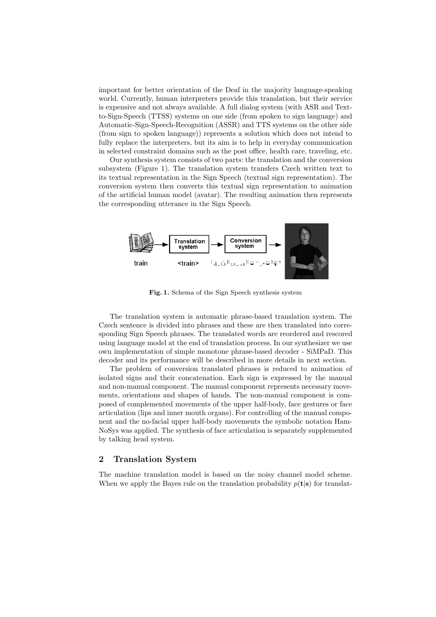important for better orientation of the Deaf in the majority language-speaking world. Currently, human interpreters provide this translation, but their service is expensive and not always available. A full dialog system (with ASR and Textto-Sign-Speech (TTSS) systems on one side (from spoken to sign language) and Automatic-Sign-Speech-Recognition (ASSR) and TTS systems on the other side (from sign to spoken language)) represents a solution which does not intend to fully replace the interpreters, but its aim is to help in everyday communication in selected constraint domains such as the post office, health care, traveling, etc.

Our synthesis system consists of two parts: the translation and the conversion subsystem (Figure 1). The translation system transfers Czech written text to its textual representation in the Sign Speech (textual sign representation). The conversion system then converts this textual sign representation to animation of the artificial human model (avatar). The resulting animation then represents the corresponding utterance in the Sign Speech.



Fig. 1. Schema of the Sign Speech synthesis system

The translation system is automatic phrase-based translation system. The Czech sentence is divided into phrases and these are then translated into corresponding Sign Speech phrases. The translated words are reordered and rescored using language model at the end of translation process. In our synthesizer we use own implementation of simple monotone phrase-based decoder - SiMPaD. This decoder and its performance will be described in more details in next section.

The problem of conversion translated phrases is reduced to animation of isolated signs and their concatenation. Each sign is expressed by the manual and non-manual component. The manual component represents necessary movements, orientations and shapes of hands. The non-manual component is composed of complemented movements of the upper half-body, face gestures or face articulation (lips and inner mouth organs). For controlling of the manual component and the no-facial upper half-body movements the symbolic notation Ham-NoSys was applied. The synthesis of face articulation is separately supplemented by talking head system.

### 2 Translation System

The machine translation model is based on the noisy channel model scheme. When we apply the Bayes rule on the translation probability  $p(\mathbf{t}|\mathbf{s})$  for translat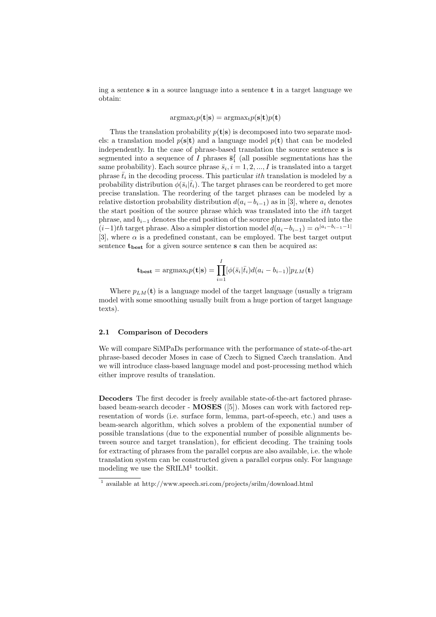ing a sentence s in a source language into a sentence t in a target language we obtain:

# $argmax_{t}p(t|\mathbf{s}) = argmax_{t}p(s|\mathbf{t})p(t)$

Thus the translation probability  $p(\mathbf{t}|\mathbf{s})$  is decomposed into two separate models: a translation model  $p(\mathbf{s}|\mathbf{t})$  and a language model  $p(\mathbf{t})$  that can be modeled independently. In the case of phrase-based translation the source sentence s is segmented into a sequence of I phrases  $\bar{s}_1^I$  (all possible segmentations has the same probability). Each source phrase  $\bar{s}_i$ ,  $i = 1, 2, ..., I$  is translated into a target phrase  $\bar{t}_i$  in the decoding process. This particular *ith* translation is modeled by a probability distribution  $\phi(\bar{s}_i|\bar{t}_i)$ . The target phrases can be reordered to get more precise translation. The reordering of the target phrases can be modeled by a relative distortion probability distribution  $d(a_i-b_{i-1})$  as in [3], where  $a_i$  denotes the start position of the source phrase which was translated into the ith target phrase, and  $b_{i-1}$  denotes the end position of the source phrase translated into the  $(i-1)th$  target phrase. Also a simpler distortion model  $d(a_i-b_{i-1}) = \alpha^{|a_i-b_{i-1}-1|}$ [3], where  $\alpha$  is a predefined constant, can be employed. The best target output sentence  $t_{best}$  for a given source sentence s can then be acquired as:

$$
\mathbf{t_{best}} = \mathrm{argmax}_{\mathbf{t}} p(\mathbf{t}|\mathbf{s}) = \prod_{i=1}^{I} [\phi(\bar{s}_i|\bar{t}_i) d(a_i - b_{i-1})] p_{LM}(\mathbf{t})
$$

Where  $p_{LM}(\mathbf{t})$  is a language model of the target language (usually a trigram model with some smoothing usually built from a huge portion of target language texts).

#### 2.1 Comparison of Decoders

We will compare SiMPaDs performance with the performance of state-of-the-art phrase-based decoder Moses in case of Czech to Signed Czech translation. And we will introduce class-based language model and post-processing method which either improve results of translation.

Decoders The first decoder is freely available state-of-the-art factored phrasebased beam-search decoder -  $MOSES$  ([5]). Moses can work with factored representation of words (i.e. surface form, lemma, part-of-speech, etc.) and uses a beam-search algorithm, which solves a problem of the exponential number of possible translations (due to the exponential number of possible alignments between source and target translation), for efficient decoding. The training tools for extracting of phrases from the parallel corpus are also available, i.e. the whole translation system can be constructed given a parallel corpus only. For language modeling we use the SRILM<sup>1</sup> toolkit.

<sup>1</sup> available at http://www.speech.sri.com/projects/srilm/download.html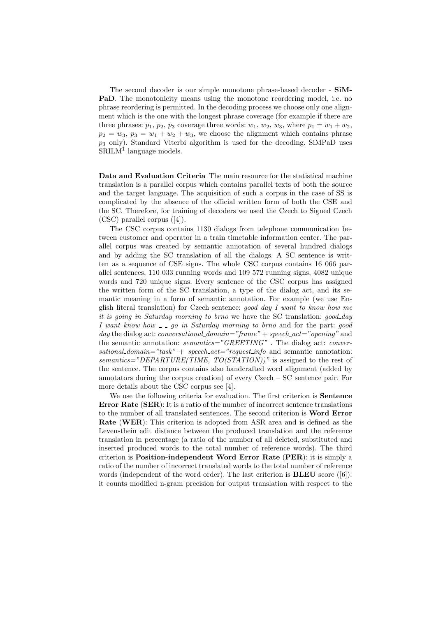The second decoder is our simple monotone phrase-based decoder - SiM-PaD. The monotonicity means using the monotone reordering model, i.e. no phrase reordering is permitted. In the decoding process we choose only one alignment which is the one with the longest phrase coverage (for example if there are three phrases:  $p_1$ ,  $p_2$ ,  $p_3$  coverage three words:  $w_1$ ,  $w_2$ ,  $w_3$ , where  $p_1 = w_1 + w_2$ ,  $p_2 = w_3$ ,  $p_3 = w_1 + w_2 + w_3$ , we choose the alignment which contains phrase  $p_3$  only). Standard Viterbi algorithm is used for the decoding. SiMPaD uses  $SRILM<sup>1</sup>$  language models.

Data and Evaluation Criteria The main resource for the statistical machine translation is a parallel corpus which contains parallel texts of both the source and the target language. The acquisition of such a corpus in the case of SS is complicated by the absence of the official written form of both the CSE and the SC. Therefore, for training of decoders we used the Czech to Signed Czech (CSC) parallel corpus ([4]).

The CSC corpus contains 1130 dialogs from telephone communication between customer and operator in a train timetable information center. The parallel corpus was created by semantic annotation of several hundred dialogs and by adding the SC translation of all the dialogs. A SC sentence is written as a sequence of CSE signs. The whole CSC corpus contains 16 066 parallel sentences, 110 033 running words and 109 572 running signs, 4082 unique words and 720 unique signs. Every sentence of the CSC corpus has assigned the written form of the SC translation, a type of the dialog act, and its semantic meaning in a form of semantic annotation. For example (we use English literal translation) for Czech sentence: good day I want to know how me it is going in Saturday morning to brno we have the SC translation: good\_day I want know how  $=$   $=$   $.90$  in Saturday morning to brno and for the part: good day the dialog act: conversational\_domain="frame" + speech\_act="opening" and the semantic annotation: semantics="GREETING" . The dialog act: conversational domain="task" + speech act="request info and semantic annotation: semantics="DEPARTURE(TIME,  $TO(STATION)$ )" is assigned to the rest of the sentence. The corpus contains also handcrafted word alignment (added by annotators during the corpus creation) of every Czech – SC sentence pair. For more details about the CSC corpus see [4].

We use the following criteria for evaluation. The first criterion is Sentence Error Rate (SER): It is a ratio of the number of incorrect sentence translations to the number of all translated sentences. The second criterion is Word Error Rate (WER): This criterion is adopted from ASR area and is defined as the Levensthein edit distance between the produced translation and the reference translation in percentage (a ratio of the number of all deleted, substituted and inserted produced words to the total number of reference words). The third criterion is Position-independent Word Error Rate (PER): it is simply a ratio of the number of incorrect translated words to the total number of reference words (independent of the word order). The last criterion is **BLEU** score  $([6])$ : it counts modified n-gram precision for output translation with respect to the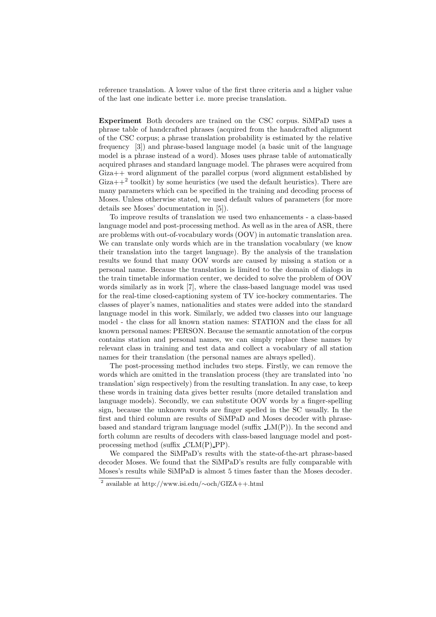reference translation. A lower value of the first three criteria and a higher value of the last one indicate better i.e. more precise translation.

Experiment Both decoders are trained on the CSC corpus. SiMPaD uses a phrase table of handcrafted phrases (acquired from the handcrafted alignment of the CSC corpus; a phrase translation probability is estimated by the relative frequency [3]) and phrase-based language model (a basic unit of the language model is a phrase instead of a word). Moses uses phrase table of automatically acquired phrases and standard language model. The phrases were acquired from Giza++ word alignment of the parallel corpus (word alignment established by  $Giza++<sup>2</sup>$  toolkit) by some heuristics (we used the default heuristics). There are many parameters which can be specified in the training and decoding process of Moses. Unless otherwise stated, we used default values of parameters (for more details see Moses' documentation in [5]).

To improve results of translation we used two enhancements - a class-based language model and post-processing method. As well as in the area of ASR, there are problems with out-of-vocabulary words (OOV) in automatic translation area. We can translate only words which are in the translation vocabulary (we know their translation into the target language). By the analysis of the translation results we found that many OOV words are caused by missing a station or a personal name. Because the translation is limited to the domain of dialogs in the train timetable information center, we decided to solve the problem of OOV words similarly as in work [7], where the class-based language model was used for the real-time closed-captioning system of TV ice-hockey commentaries. The classes of player's names, nationalities and states were added into the standard language model in this work. Similarly, we added two classes into our language model - the class for all known station names: STATION and the class for all known personal names: PERSON. Because the semantic annotation of the corpus contains station and personal names, we can simply replace these names by relevant class in training and test data and collect a vocabulary of all station names for their translation (the personal names are always spelled).

The post-processing method includes two steps. Firstly, we can remove the words which are omitted in the translation process (they are translated into 'no translation' sign respectively) from the resulting translation. In any case, to keep these words in training data gives better results (more detailed translation and language models). Secondly, we can substitute OOV words by a finger-spelling sign, because the unknown words are finger spelled in the SC usually. In the first and third column are results of SiMPaD and Moses decoder with phrasebased and standard trigram language model (suffix LM(P)). In the second and forth column are results of decoders with class-based language model and postprocessing method (suffix  $\mathcal{L}$ CLM(P) $\mathcal{L}$ PP).

We compared the SiMPaD's results with the state-of-the-art phrase-based decoder Moses. We found that the SiMPaD's results are fully comparable with Moses's results while SiMPaD is almost 5 times faster than the Moses decoder.

<sup>2</sup> available at http://www.isi.edu/∼och/GIZA++.html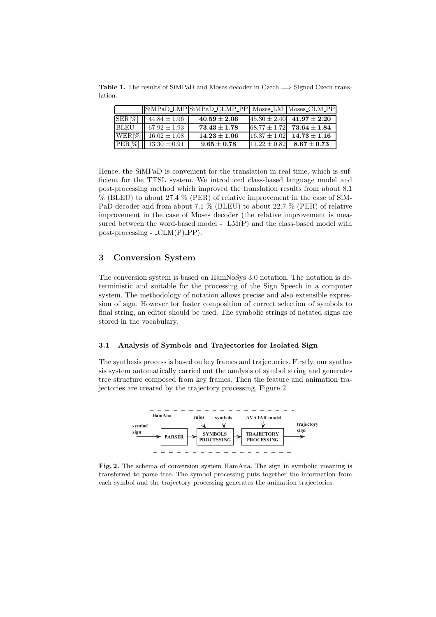Table 1. The results of SiMPaD and Moses decoder in Czech  $\implies$  Signed Czech translation.

|                                               | SiMPaD_LMP SiMPaD_CLMP_PP   Moses_LM   Moses_CLM_PP |                                     |
|-----------------------------------------------|-----------------------------------------------------|-------------------------------------|
| $\text{SER}$ [%] $\parallel$ 44.84 $\pm$ 1.96 | $40.59 \pm 2.06$                                    | $ 45.30 \pm 2.40 $ 41.97 $\pm$ 2.20 |
| BLEU $\parallel$ 67.92 $\pm$ 1.93             | $73.43 \pm 1.78$                                    | $ 68.77 \pm 1.72 $ 73.64 $\pm$ 1.84 |
| $ \text{WER}[\%] $ 16.02 ± 1.08               | $14.23 \pm 1.06$                                    | $ 16.37 \pm 1.02 $ 14.73 $\pm$ 1.16 |
| $PER[%]$ 13.30 ± 0.91                         | $9.65 \pm 0.78$                                     | $ 11.22 \pm 0.82 $ 8.67 $\pm$ 0.73  |

Hence, the SiMPaD is convenient for the translation in real time, which is sufficient for the TTSL system. We introduced class-based language model and post-processing method which improved the translation results from about 8.1 % (BLEU) to about 27.4 % (PER) of relative improvement in the case of SiM-PaD decoder and from about 7.1 % (BLEU) to about 22.7 % (PER) of relative improvement in the case of Moses decoder (the relative improvement is measured between the word-based model  $-LM(P)$  and the class-based model with post-processing - CLM(P) PP).

# 3 Conversion System

The conversion system is based on HamNoSys 3.0 notation. The notation is deterministic and suitable for the processing of the Sign Speech in a computer system. The methodology of notation allows precise and also extensible expression of sign. However for faster composition of correct selection of symbols to final string, an editor should be used. The symbolic strings of notated signs are stored in the vocabulary.

#### 3.1 Analysis of Symbols and Trajectories for Isolated Sign

The synthesis process is based on key frames and trajectories. Firstly, our synthesis system automatically carried out the analysis of symbol string and generates tree structure composed from key frames. Then the feature and animation trajectories are created by the trajectory processing, Figure 2.



Fig. 2. The schema of conversion system HamAna. The sign in symbolic meaning is transferred to parse tree. The symbol processing puts together the information from each symbol and the trajectory processing generates the animation trajectories.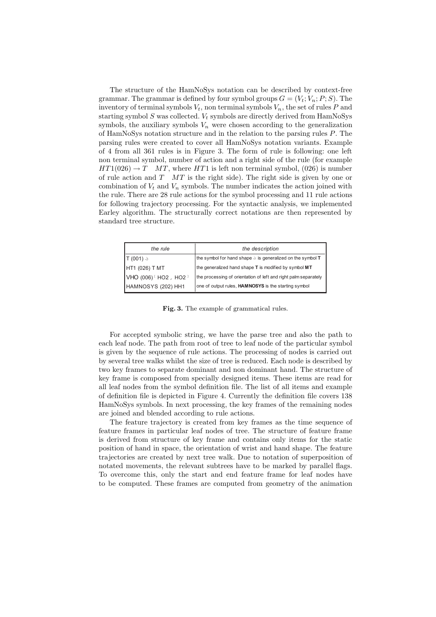The structure of the HamNoSys notation can be described by context-free grammar. The grammar is defined by four symbol groups  $G = (V_t; V_n; P; S)$ . The inventory of terminal symbols  $V_t$ , non terminal symbols  $V_n$ , the set of rules P and starting symbol  $S$  was collected.  $V_t$  symbols are directly derived from HamNoSys symbols, the auxiliary symbols  $V_n$  were chosen according to the generalization of HamNoSys notation structure and in the relation to the parsing rules P. The parsing rules were created to cover all HamNoSys notation variants. Example of 4 from all 361 rules is in Figure 3. The form of rule is following: one left non terminal symbol, number of action and a right side of the rule (for example  $HT1(026) \rightarrow T$  MT, where HT1 is left non terminal symbol, (026) is number of rule action and  $T$   $MT$  is the right side). The right side is given by one or combination of  $V_t$  and  $V_n$  symbols. The number indicates the action joined with the rule. There are 28 rule actions for the symbol processing and 11 rule actions for following trajectory processing. For the syntactic analysis, we implemented Earley algorithm. The structurally correct notations are then represented by standard tree structure.

| the rule              | the description                                                   |
|-----------------------|-------------------------------------------------------------------|
| <b>T</b> (001) $\geq$ | the symbol for hand shape $\delta$ is generalized on the symbol T |
| HT1 (026) T MT        | the generalized hand shape T is modified by symbol MT             |
| VHO (006) [HO2, HO2 ] | the processing of orientation of left and right palm separately   |
| HAMNOSYS (202) HH1    | one of output rules, HAMNOSYS is the starting symbol              |

Fig. 3. The example of grammatical rules.

For accepted symbolic string, we have the parse tree and also the path to each leaf node. The path from root of tree to leaf node of the particular symbol is given by the sequence of rule actions. The processing of nodes is carried out by several tree walks whilst the size of tree is reduced. Each node is described by two key frames to separate dominant and non dominant hand. The structure of key frame is composed from specially designed items. These items are read for all leaf nodes from the symbol definition file. The list of all items and example of definition file is depicted in Figure 4. Currently the definition file covers 138 HamNoSys symbols. In next processing, the key frames of the remaining nodes are joined and blended according to rule actions.

The feature trajectory is created from key frames as the time sequence of feature frames in particular leaf nodes of tree. The structure of feature frame is derived from structure of key frame and contains only items for the static position of hand in space, the orientation of wrist and hand shape. The feature trajectories are created by next tree walk. Due to notation of superposition of notated movements, the relevant subtrees have to be marked by parallel flags. To overcome this, only the start and end feature frame for leaf nodes have to be computed. These frames are computed from geometry of the animation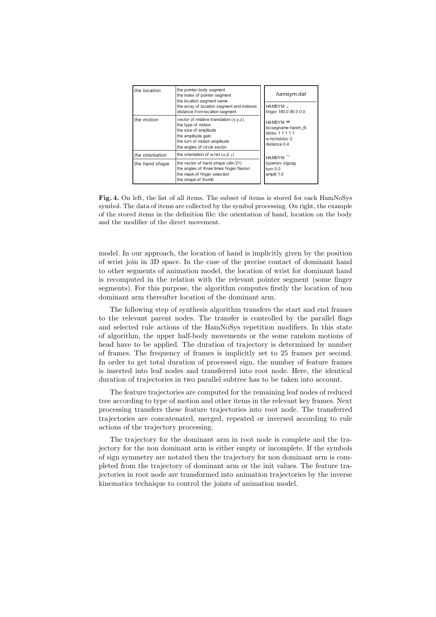| the location    | the pointer body segment<br>the index of pointer segment<br>the location segment name                                                                                        | hamsym.dat                                                                                   |  |
|-----------------|------------------------------------------------------------------------------------------------------------------------------------------------------------------------------|----------------------------------------------------------------------------------------------|--|
|                 | the array of location segment and indexes<br>distance from location segment                                                                                                  | HAMSYM v<br>fingor 180.0 90.0 0.0                                                            |  |
| the motion      | vector of relative translation $(x,y,z)$<br>the type of motion<br>the size of amplitude<br>the amplitude gain<br>the turn of motion amplitude<br>the angles of circle sector | $HAMSYM \equiv$<br>locsegname hanim I5<br>idxloc 1 1 1 1 1<br>w hichidxloc 2<br>distance 0.4 |  |
| the orientation | the orientation of w rist $(\alpha, \beta, \gamma)$                                                                                                                          | <b>HAMSYM</b>                                                                                |  |
| the hand shape  | the vector of hand shape (dim 21)<br>the angles of three times finger flexion<br>the mask of finger selection<br>the shape of thumb                                          | typemov zigzag<br>turn $0.0$<br>amplit 1.0                                                   |  |

Fig. 4. On left, the list of all items. The subset of items is stored for each HamNoSys symbol. The data of items are collected by the symbol processing. On right, the example of the stored items in the definition file: the orientation of hand, location on the body and the modifier of the direct movement.

model. In our approach, the location of hand is implicitly given by the position of wrist join in 3D space. In the case of the precise contact of dominant hand to other segments of animation model, the location of wrist for dominant hand is recomputed in the relation with the relevant pointer segment (some finger segments). For this purpose, the algorithm computes firstly the location of non dominant arm thereafter location of the dominant arm.

The following step of synthesis algorithm transfers the start and end frames to the relevant parent nodes. The transfer is controlled by the parallel flags and selected rule actions of the HamNoSys repetition modifiers. In this state of algorithm, the upper half-body movements or the some random motions of head have to be applied. The duration of trajectory is determined by number of frames. The frequency of frames is implicitly set to 25 frames per second. In order to get total duration of processed sign, the number of feature frames is inserted into leaf nodes and transferred into root node. Here, the identical duration of trajectories in two parallel subtree has to be taken into account.

The feature trajectories are computed for the remaining leaf nodes of reduced tree according to type of motion and other items in the relevant key frames. Next processing transfers these feature trajectories into root node. The transferred trajectories are concatenated, merged, repeated or inversed according to rule actions of the trajectory processing.

The trajectory for the dominant arm in root node is complete and the trajectory for the non dominant arm is either empty or incomplete. If the symbols of sign symmetry are notated then the trajectory for non dominant arm is completed from the trajectory of dominant arm or the init values. The feature trajectories in root node are transformed into animation trajectories by the inverse kinematics technique to control the joints of animation model.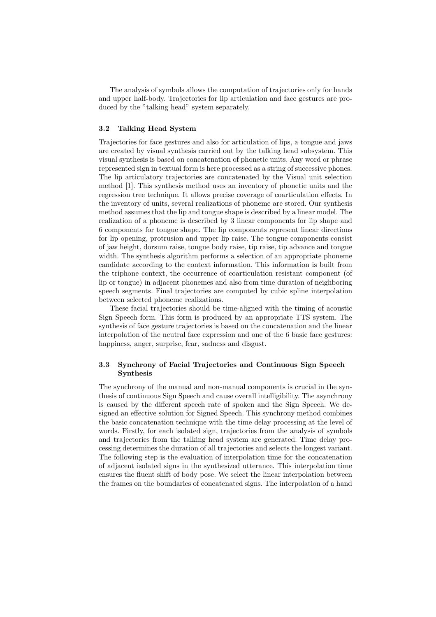The analysis of symbols allows the computation of trajectories only for hands and upper half-body. Trajectories for lip articulation and face gestures are produced by the "talking head" system separately.

# 3.2 Talking Head System

Trajectories for face gestures and also for articulation of lips, a tongue and jaws are created by visual synthesis carried out by the talking head subsystem. This visual synthesis is based on concatenation of phonetic units. Any word or phrase represented sign in textual form is here processed as a string of successive phones. The lip articulatory trajectories are concatenated by the Visual unit selection method [1]. This synthesis method uses an inventory of phonetic units and the regression tree technique. It allows precise coverage of coarticulation effects. In the inventory of units, several realizations of phoneme are stored. Our synthesis method assumes that the lip and tongue shape is described by a linear model. The realization of a phoneme is described by 3 linear components for lip shape and 6 components for tongue shape. The lip components represent linear directions for lip opening, protrusion and upper lip raise. The tongue components consist of jaw height, dorsum raise, tongue body raise, tip raise, tip advance and tongue width. The synthesis algorithm performs a selection of an appropriate phoneme candidate according to the context information. This information is built from the triphone context, the occurrence of coarticulation resistant component (of lip or tongue) in adjacent phonemes and also from time duration of neighboring speech segments. Final trajectories are computed by cubic spline interpolation between selected phoneme realizations.

These facial trajectories should be time-aligned with the timing of acoustic Sign Speech form. This form is produced by an appropriate TTS system. The synthesis of face gesture trajectories is based on the concatenation and the linear interpolation of the neutral face expression and one of the 6 basic face gestures: happiness, anger, surprise, fear, sadness and disgust.

# 3.3 Synchrony of Facial Trajectories and Continuous Sign Speech Synthesis

The synchrony of the manual and non-manual components is crucial in the synthesis of continuous Sign Speech and cause overall intelligibility. The asynchrony is caused by the different speech rate of spoken and the Sign Speech. We designed an effective solution for Signed Speech. This synchrony method combines the basic concatenation technique with the time delay processing at the level of words. Firstly, for each isolated sign, trajectories from the analysis of symbols and trajectories from the talking head system are generated. Time delay processing determines the duration of all trajectories and selects the longest variant. The following step is the evaluation of interpolation time for the concatenation of adjacent isolated signs in the synthesized utterance. This interpolation time ensures the fluent shift of body pose. We select the linear interpolation between the frames on the boundaries of concatenated signs. The interpolation of a hand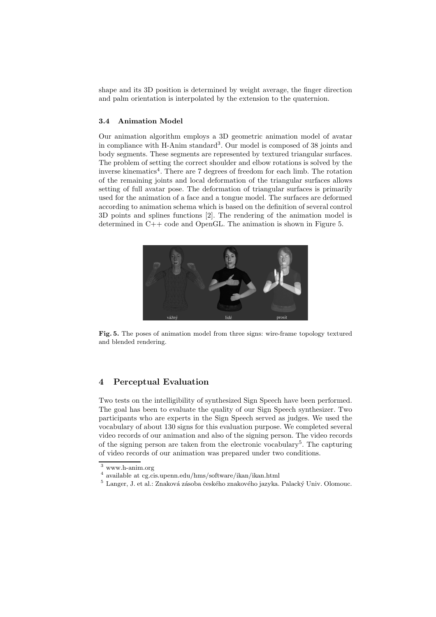shape and its 3D position is determined by weight average, the finger direction and palm orientation is interpolated by the extension to the quaternion.

## 3.4 Animation Model

Our animation algorithm employs a 3D geometric animation model of avatar in compliance with H-Anim standard<sup>3</sup> . Our model is composed of 38 joints and body segments. These segments are represented by textured triangular surfaces. The problem of setting the correct shoulder and elbow rotations is solved by the inverse kinematics<sup>4</sup> . There are 7 degrees of freedom for each limb. The rotation of the remaining joints and local deformation of the triangular surfaces allows setting of full avatar pose. The deformation of triangular surfaces is primarily used for the animation of a face and a tongue model. The surfaces are deformed according to animation schema which is based on the definition of several control 3D points and splines functions [2]. The rendering of the animation model is determined in C++ code and OpenGL. The animation is shown in Figure 5.



Fig. 5. The poses of animation model from three signs: wire-frame topology textured and blended rendering.

# 4 Perceptual Evaluation

Two tests on the intelligibility of synthesized Sign Speech have been performed. The goal has been to evaluate the quality of our Sign Speech synthesizer. Two participants who are experts in the Sign Speech served as judges. We used the vocabulary of about 130 signs for this evaluation purpose. We completed several video records of our animation and also of the signing person. The video records of the signing person are taken from the electronic vocabulary<sup>5</sup>. The capturing of video records of our animation was prepared under two conditions.

<sup>3</sup> www.h-anim.org

<sup>4</sup> available at cg.cis.upenn.edu/hms/software/ikan/ikan.html

 $^5$  Langer, J. et al.: Znaková zásoba českého znakového jazyka. Palacký Univ. Olomouc.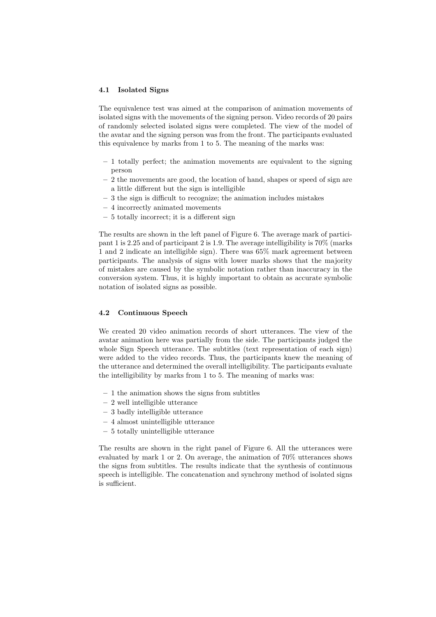#### 4.1 Isolated Signs

The equivalence test was aimed at the comparison of animation movements of isolated signs with the movements of the signing person. Video records of 20 pairs of randomly selected isolated signs were completed. The view of the model of the avatar and the signing person was from the front. The participants evaluated this equivalence by marks from 1 to 5. The meaning of the marks was:

- 1 totally perfect; the animation movements are equivalent to the signing person
- 2 the movements are good, the location of hand, shapes or speed of sign are a little different but the sign is intelligible
- 3 the sign is difficult to recognize; the animation includes mistakes
- 4 incorrectly animated movements
- 5 totally incorrect; it is a different sign

The results are shown in the left panel of Figure 6. The average mark of participant 1 is 2.25 and of participant 2 is 1.9. The average intelligibility is 70% (marks 1 and 2 indicate an intelligible sign). There was 65% mark agreement between participants. The analysis of signs with lower marks shows that the majority of mistakes are caused by the symbolic notation rather than inaccuracy in the conversion system. Thus, it is highly important to obtain as accurate symbolic notation of isolated signs as possible.

# 4.2 Continuous Speech

We created 20 video animation records of short utterances. The view of the avatar animation here was partially from the side. The participants judged the whole Sign Speech utterance. The subtitles (text representation of each sign) were added to the video records. Thus, the participants knew the meaning of the utterance and determined the overall intelligibility. The participants evaluate the intelligibility by marks from 1 to 5. The meaning of marks was:

- 1 the animation shows the signs from subtitles
- 2 well intelligible utterance
- 3 badly intelligible utterance
- 4 almost unintelligible utterance
- 5 totally unintelligible utterance

The results are shown in the right panel of Figure 6. All the utterances were evaluated by mark 1 or 2. On average, the animation of 70% utterances shows the signs from subtitles. The results indicate that the synthesis of continuous speech is intelligible. The concatenation and synchrony method of isolated signs is sufficient.